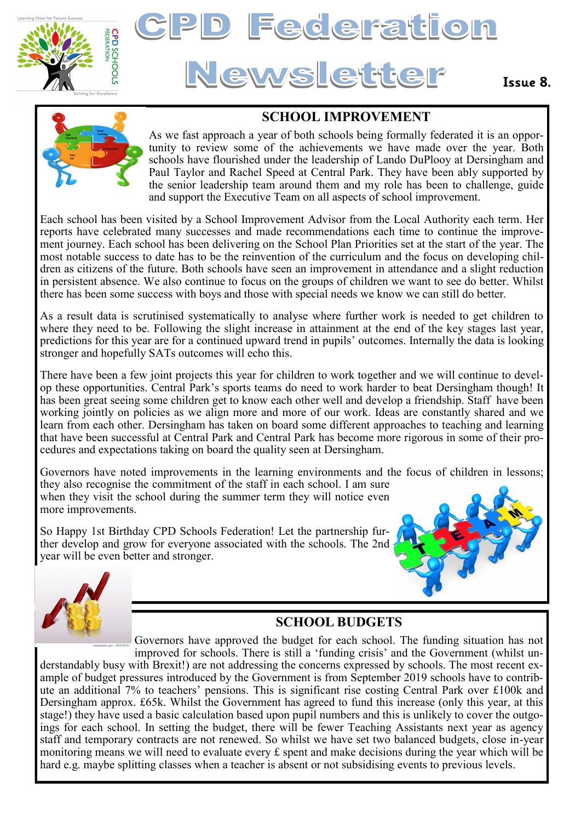

# **Federation Newsletter**

## **Issue 8.**



# **SCHOOL IMPROVEMENT**

As we fast approach a year of both schools being formally federated it is an opportunity to review some of the achievements we have made over the year. Both schools have flourished under the leadership of Lando DuPlooy at Dersingham and Paul Taylor and Rachel Speed at Central Park. They have been ably supported by the senior leadership team around them and my role has been to challenge, guide and support the Executive Team on all aspects of school improvement.

Each school has been visited by a School Improvement Advisor from the Local Authority each term. Her reports have celebrated many successes and made recommendations each time to continue the improvement journey. Each school has been delivering on the School Plan Priorities set at the start of the year. The most notable success to date has to be the reinvention of the curriculum and the focus on developing children as citizens of the future. Both schools have seen an improvement in attendance and a slight reduction in persistent absence. We also continue to focus on the groups of children we want to see do better. Whilst there has been some success with boys and those with special needs we know we can still do better.

As a result data is scrutinised systematically to analyse where further work is needed to get children to where they need to be. Following the slight increase in attainment at the end of the key stages last year, predictions for this year are for a continued upward trend in pupils' outcomes. Internally the data is looking stronger and hopefully SATs outcomes will echo this.

There have been a few joint projects this year for children to work together and we will continue to develop these opportunities. Central Park's sports teams do need to work harder to beat Dersingham though! It has been great seeing some children get to know each other well and develop a friendship. Staff have been working jointly on policies as we align more and more of our work. Ideas are constantly shared and we learn from each other. Dersingham has taken on board some different approaches to teaching and learning that have been successful at Central Park and Central Park has become more rigorous in some of their procedures and expectations taking on board the quality seen at Dersingham.

Governors have noted improvements in the learning environments and the focus of children in lessons; they also recognise the commitment of the staff in each school. I am sure when they visit the school during the summer term they will notice even more improvements.

So Happy 1st Birthday CPD Schools Federation! Let the partnership further develop and grow for everyone associated with the schools. The 2nd year will be even better and stronger.





## **SCHOOL BUDGETS**

Governors have approved the budget for each school. The funding situation has not improved for schools. There is still a 'funding crisis' and the Government (whilst understandably busy with Brexit!) are not addressing the concerns expressed by schools. The most recent example of budget pressures introduced by the Government is from September 2019 schools have to contribute an additional 7% to teachers' pensions. This is significant rise costing Central Park over £100k and Dersingham approx. £65k. Whilst the Government has agreed to fund this increase (only this year, at this stage!) they have used a basic calculation based upon pupil numbers and this is unlikely to cover the outgoings for each school. In setting the budget, there will be fewer Teaching Assistants next year as agency staff and temporary contracts are not renewed. So whilst we have set two balanced budgets, close in-year monitoring means we will need to evaluate every  $\pounds$  spent and make decisions during the year which will be hard e.g. maybe splitting classes when a teacher is absent or not subsidising events to previous levels.